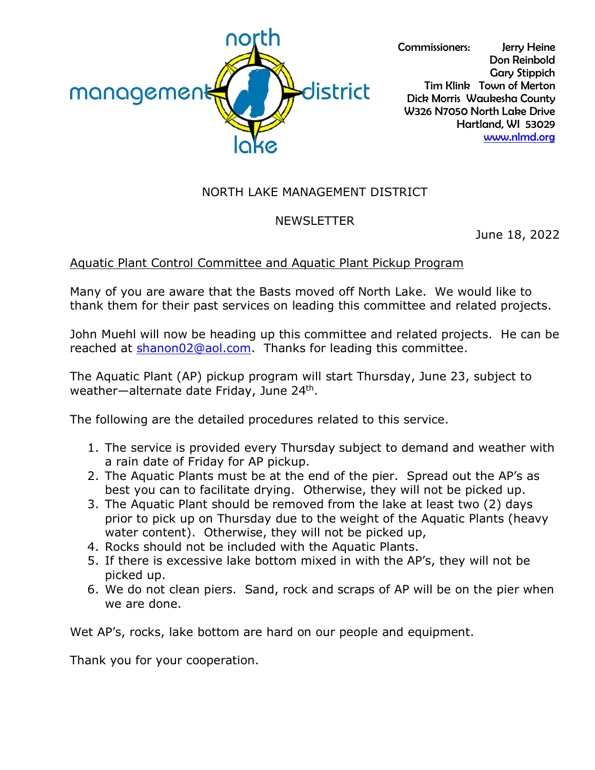

Commissioners: Jerry Heine Don Reinbold Gary Stippich Tim Klink Town of Merton Dick Morris Waukesha County W326 N7050 North Lake Drive Hartland, WI 53029 [www.nlmd.org](http://www.nlmd.org/)

## NORTH LAKE MANAGEMENT DISTRICT

## NEWSLETTER

June 18, 2022

## Aquatic Plant Control Committee and Aquatic Plant Pickup Program

Many of you are aware that the Basts moved off North Lake. We would like to thank them for their past services on leading this committee and related projects.

John Muehl will now be heading up this committee and related projects. He can be reached at [shanon02@aol.com.](mailto:shanon02@aol.com) Thanks for leading this committee.

The Aquatic Plant (AP) pickup program will start Thursday, June 23, subject to weather—alternate date Friday, June 24th.

The following are the detailed procedures related to this service.

- 1. The service is provided every Thursday subject to demand and weather with a rain date of Friday for AP pickup.
- 2. The Aquatic Plants must be at the end of the pier. Spread out the AP's as best you can to facilitate drying. Otherwise, they will not be picked up.
- 3. The Aquatic Plant should be removed from the lake at least two (2) days prior to pick up on Thursday due to the weight of the Aquatic Plants (heavy water content). Otherwise, they will not be picked up,
- 4. Rocks should not be included with the Aquatic Plants.
- 5. If there is excessive lake bottom mixed in with the AP's, they will not be picked up.
- 6. We do not clean piers. Sand, rock and scraps of AP will be on the pier when we are done.

Wet AP's, rocks, lake bottom are hard on our people and equipment.

Thank you for your cooperation.